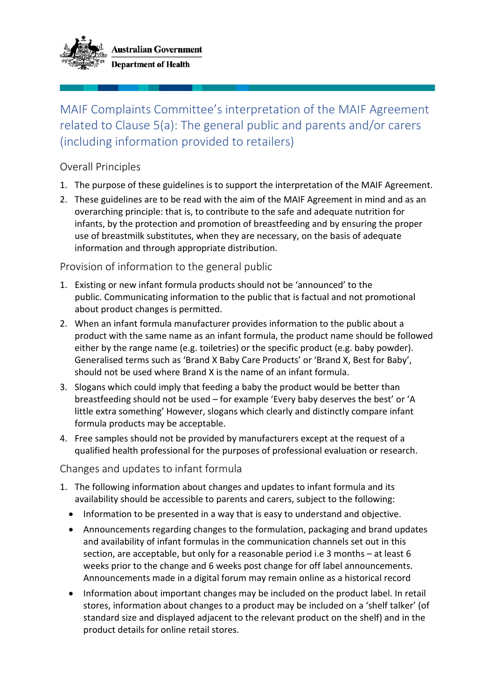

## MAIF Complaints Committee's interpretation of the MAIF Agreement related to Clause 5(a): The general public and parents and/or carers (including information provided to retailers)

## Overall Principles

- 1. The purpose of these guidelines is to support the interpretation of the MAIF Agreement.
- 2. These guidelines are to be read with the aim of the MAIF Agreement in mind and as an overarching principle: that is, to contribute to the safe and adequate nutrition for infants, by the protection and promotion of breastfeeding and by ensuring the proper use of breastmilk substitutes, when they are necessary, on the basis of adequate information and through appropriate distribution.

## Provision of information to the general public

- 1. Existing or new infant formula products should not be 'announced' to the public. Communicating information to the public that is factual and not promotional about product changes is permitted.
- 2. When an infant formula manufacturer provides information to the public about a product with the same name as an infant formula, the product name should be followed either by the range name (e.g. toiletries) or the specific product (e.g. baby powder). Generalised terms such as 'Brand X Baby Care Products' or 'Brand X, Best for Baby', should not be used where Brand X is the name of an infant formula.
- 3. Slogans which could imply that feeding a baby the product would be better than breastfeeding should not be used – for example 'Every baby deserves the best' or 'A little extra something' However, slogans which clearly and distinctly compare infant formula products may be acceptable.
- 4. Free samples should not be provided by manufacturers except at the request of a qualified health professional for the purposes of professional evaluation or research.

Changes and updates to infant formula

- 1. The following information about changes and updates to infant formula and its availability should be accessible to parents and carers, subject to the following:
	- Information to be presented in a way that is easy to understand and objective.
	- Announcements regarding changes to the formulation, packaging and brand updates and availability of infant formulas in the communication channels set out in this section, are acceptable, but only for a reasonable period i.e 3 months – at least 6 weeks prior to the change and 6 weeks post change for off label announcements. Announcements made in a digital forum may remain online as a historical record
	- Information about important changes may be included on the product label. In retail stores, information about changes to a product may be included on a 'shelf talker' (of standard size and displayed adjacent to the relevant product on the shelf) and in the product details for online retail stores.